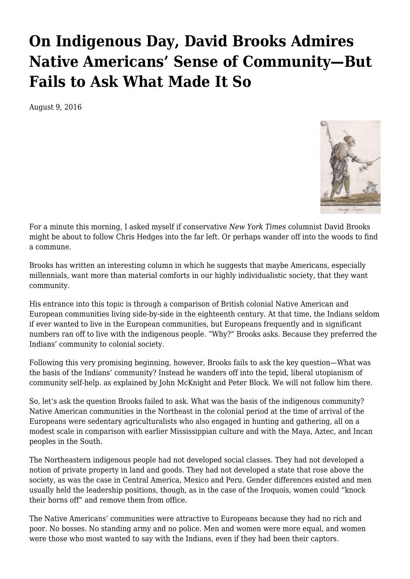## **[On Indigenous Day, David Brooks Admires](https://newpol.org/indigenous-day-david-brooks-admires-native-americans-sense-community-fails-ask-what-made-i/) [Native Americans' Sense of Community—But](https://newpol.org/indigenous-day-david-brooks-admires-native-americans-sense-community-fails-ask-what-made-i/) [Fails to Ask What Made It So](https://newpol.org/indigenous-day-david-brooks-admires-native-americans-sense-community-fails-ask-what-made-i/)**

August 9, 2016



For a minute this morning, I asked myself if conservative *New York Times* columnist David Brooks might be about to follow Chris Hedges into the far left. Or perhaps wander off into the woods to find a commune.

Brooks has written an [interesting column](http://www.nytimes.com/2016/08/09/opinion/the-great-affluence-fallacy.html?ref=opinion) in which he suggests that maybe Americans, especially millennials, want more than material comforts in our highly individualistic society, that they want community.

His entrance into this topic is through a comparison of British colonial Native American and European communities living side-by-side in the eighteenth century. At that time, the Indians seldom if ever wanted to live in the European communities, but Europeans frequently and in significant numbers ran off to live with the indigenous people. "Why?" Brooks asks. Because they preferred the Indians' community to colonial society.

Following this very promising beginning, however, Brooks fails to ask the key question—What was the basis of the Indians' community? Instead he wanders off into the tepid, liberal utopianism of community self-help. as explained by John McKnight and Peter Block. We will not follow him there.

So, let's ask the question Brooks failed to ask. What was the basis of the indigenous community? Native American communities in the Northeast in the colonial period at the time of arrival of the Europeans were sedentary agriculturalists who also engaged in hunting and gathering, all on a modest scale in comparison with earlier Mississippian culture and with the Maya, Aztec, and Incan peoples in the South.

The Northeastern indigenous people had not developed social classes. They had not developed a notion of private property in land and goods. They had not developed a state that rose above the society, as was the case in Central America, Mexico and Peru. Gender differences existed and men usually held the leadership positions, though, as in the case of the Iroquois, women could "knock their horns off" and remove them from office.

The Native Americans' communities were attractive to Europeans because they had no rich and poor. No bosses. No standing army and no police. Men and women were more equal, and women were those who most wanted to say with the Indians, even if they had been their captors.